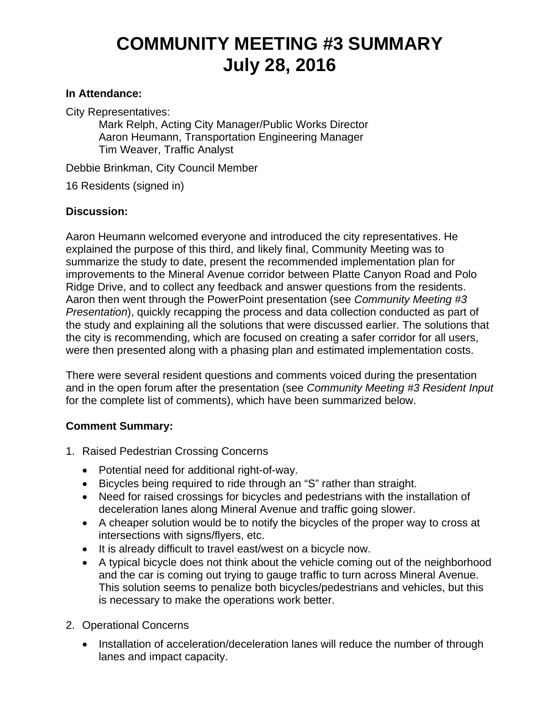## **COMMUNITY MEETING #3 SUMMARY July 28, 2016**

## **In Attendance:**

City Representatives:

Mark Relph, Acting City Manager/Public Works Director Aaron Heumann, Transportation Engineering Manager Tim Weaver, Traffic Analyst

Debbie Brinkman, City Council Member

16 Residents (signed in)

## **Discussion:**

Aaron Heumann welcomed everyone and introduced the city representatives. He explained the purpose of this third, and likely final, Community Meeting was to summarize the study to date, present the recommended implementation plan for improvements to the Mineral Avenue corridor between Platte Canyon Road and Polo Ridge Drive, and to collect any feedback and answer questions from the residents. Aaron then went through the PowerPoint presentation (see *Community Meeting #3 Presentation*), quickly recapping the process and data collection conducted as part of the study and explaining all the solutions that were discussed earlier. The solutions that the city is recommending, which are focused on creating a safer corridor for all users, were then presented along with a phasing plan and estimated implementation costs.

There were several resident questions and comments voiced during the presentation and in the open forum after the presentation (see *Community Meeting #3 Resident Input*  for the complete list of comments), which have been summarized below.

## **Comment Summary:**

- 1. Raised Pedestrian Crossing Concerns
	- Potential need for additional right-of-way.
	- Bicycles being required to ride through an "S" rather than straight.
	- Need for raised crossings for bicycles and pedestrians with the installation of deceleration lanes along Mineral Avenue and traffic going slower.
	- A cheaper solution would be to notify the bicycles of the proper way to cross at intersections with signs/flyers, etc.
	- It is already difficult to travel east/west on a bicycle now.
	- A typical bicycle does not think about the vehicle coming out of the neighborhood and the car is coming out trying to gauge traffic to turn across Mineral Avenue. This solution seems to penalize both bicycles/pedestrians and vehicles, but this is necessary to make the operations work better.
- 2. Operational Concerns
	- Installation of acceleration/deceleration lanes will reduce the number of through lanes and impact capacity.